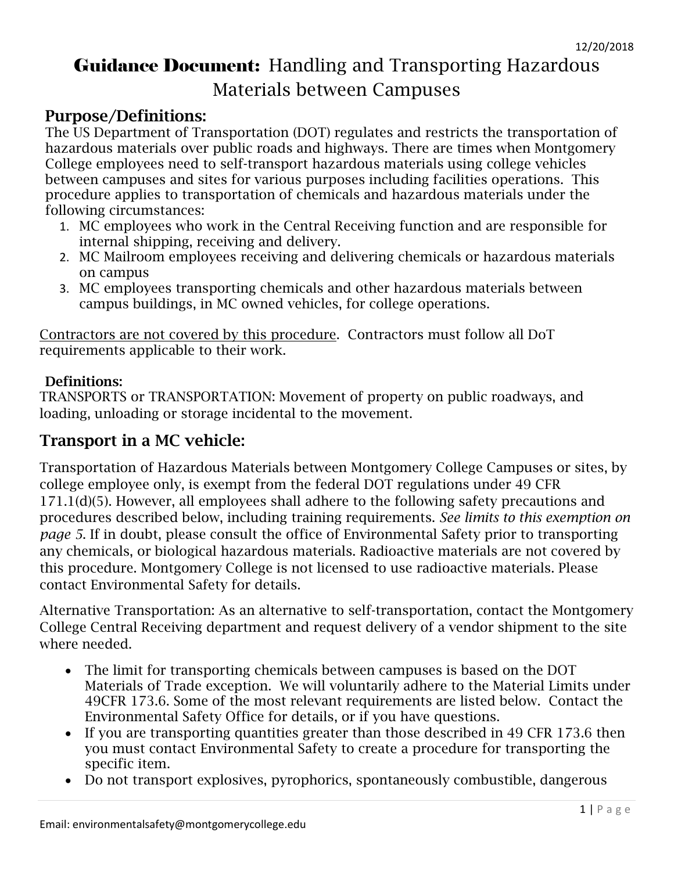# Guidance Document: Handling and Transporting Hazardous Materials between Campuses

# Purpose/Definitions:

The US Department of Transportation (DOT) regulates and restricts the transportation of hazardous materials over public roads and highways. There are times when Montgomery College employees need to self-transport hazardous materials using college vehicles between campuses and sites for various purposes including facilities operations. This procedure applies to transportation of chemicals and hazardous materials under the following circumstances:

- 1. MC employees who work in the Central Receiving function and are responsible for internal shipping, receiving and delivery.
- 2. MC Mailroom employees receiving and delivering chemicals or hazardous materials on campus
- 3. MC employees transporting chemicals and other hazardous materials between campus buildings, in MC owned vehicles, for college operations.

Contractors are not covered by this procedure. Contractors must follow all DoT requirements applicable to their work.

### Definitions:

TRANSPORTS or TRANSPORTATION: Movement of property on public roadways, and loading, unloading or storage incidental to the movement.

## Transport in a MC vehicle:

Transportation of Hazardous Materials between Montgomery College Campuses or sites, by college employee only, is exempt from the federal DOT regulations under 49 CFR 171.1(d)(5). However, all employees shall adhere to the following safety precautions and procedures described below, including training requirements. *See limits to this exemption on page 5*. If in doubt, please consult the office of Environmental Safety prior to transporting any chemicals, or biological hazardous materials. Radioactive materials are not covered by this procedure. Montgomery College is not licensed to use radioactive materials. Please contact Environmental Safety for details.

Alternative Transportation: As an alternative to self-transportation, contact the Montgomery College Central Receiving department and request delivery of a vendor shipment to the site where needed.

- The limit for transporting chemicals between campuses is based on the DOT Materials of Trade exception. We will voluntarily adhere to the Material Limits under 49CFR 173.6. Some of the most relevant requirements are listed below. Contact the Environmental Safety Office for details, or if you have questions.
- If you are transporting quantities greater than those described in 49 CFR 173.6 then you must contact Environmental Safety to create a procedure for transporting the specific item.
- Do not transport explosives, pyrophorics, spontaneously combustible, dangerous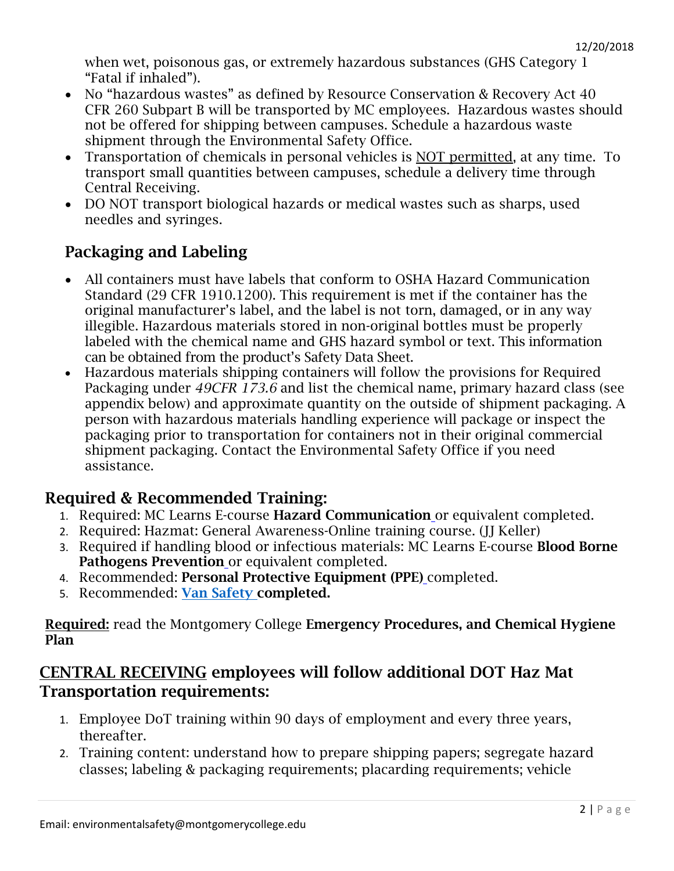when wet, poisonous gas, or extremely hazardous substances (GHS Category 1 "Fatal if inhaled").

- No "hazardous wastes" as defined by Resource Conservation & Recovery Act 40 CFR 260 Subpart B will be transported by MC employees. Hazardous wastes should not be offered for shipping between campuses. Schedule a hazardous waste shipment through the Environmental Safety Office.
- Transportation of chemicals in personal vehicles is NOT permitted, at any time. To transport small quantities between campuses, schedule a delivery time through Central Receiving.
- DO NOT transport biological hazards or medical wastes such as sharps, used needles and syringes.

# Packaging and Labeling

- All containers must have labels that conform to OSHA Hazard Communication Standard (29 CFR 1910.1200). This requirement is met if the container has the original manufacturer's label, and the label is not torn, damaged, or in any way illegible. Hazardous materials stored in non-original bottles must be properly labeled with the chemical name and GHS hazard symbol or text. This information can be obtained from the product's Safety Data Sheet.
- Hazardous materials shipping containers will follow the provisions for Required Packaging under *49CFR 173.6* and list the chemical name, primary hazard class (see appendix below) and approximate quantity on the outside of shipment packaging. A person with hazardous materials handling experience will package or inspect the packaging prior to transportation for containers not in their original commercial shipment packaging. Contact the Environmental Safety Office if you need assistance.

# Required & Recommended Training:

- 1. Required: MC Learns E-course Hazard Communication or equivalent completed.
- 2. Required: Hazmat: General Awareness-Online training course. (JJ Keller)
- 3. Required if handling blood or infectious materials: MC Learns E-course Blood Borne Pathogens Prevention or equivalent completed.
- 4. Recommended: Personal Protective Equipment (PPE) completed.
- 5. Recommended: [Van Safety c](https://durhamtech-nc.safecolleges.com/courses/details/COURSE-VAN)ompleted.

#### Required: read the Montgomery College Emergency Procedures, and Chemical Hygiene Plan

### CENTRAL RECEIVING employees will follow additional DOT Haz Mat Transportation requirements:

- 1. Employee DoT training within 90 days of employment and every three years, thereafter.
- 2. Training content: understand how to prepare shipping papers; segregate hazard classes; labeling & packaging requirements; placarding requirements; vehicle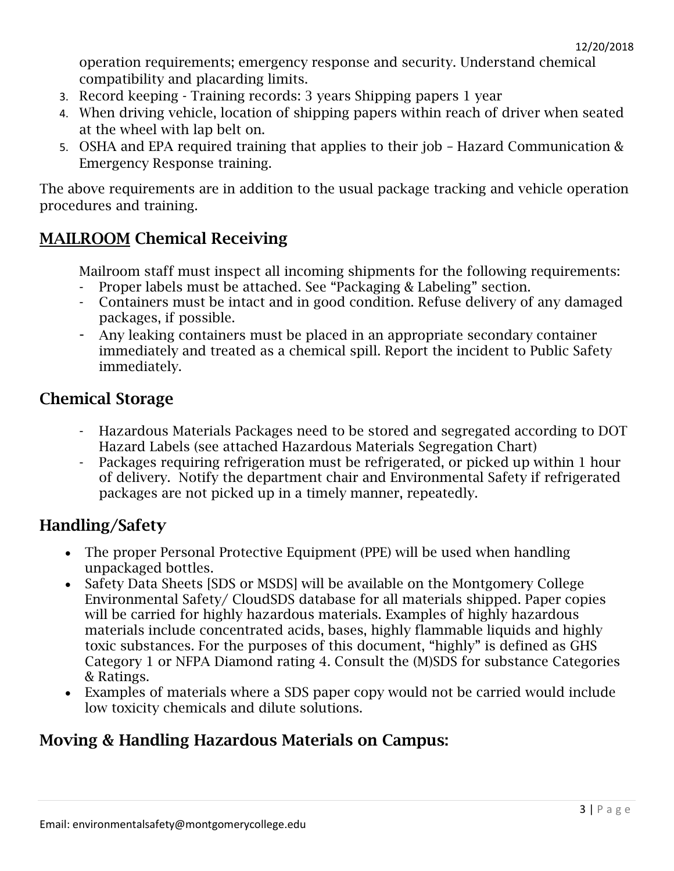operation requirements; emergency response and security. Understand chemical compatibility and placarding limits.

- 3. Record keeping Training records: 3 years Shipping papers 1 year
- 4. When driving vehicle, location of shipping papers within reach of driver when seated at the wheel with lap belt on.
- 5. OSHA and EPA required training that applies to their job Hazard Communication & Emergency Response training.

The above requirements are in addition to the usual package tracking and vehicle operation procedures and training.

# MAILROOM Chemical Receiving

Mailroom staff must inspect all incoming shipments for the following requirements: - Proper labels must be attached. See "Packaging & Labeling" section.

- Containers must be intact and in good condition. Refuse delivery of any damaged packages, if possible.
- Any leaking containers must be placed in an appropriate secondary container immediately and treated as a chemical spill. Report the incident to Public Safety immediately.

### Chemical Storage

- Hazardous Materials Packages need to be stored and segregated according to DOT Hazard Labels (see attached Hazardous Materials Segregation Chart)
- Packages requiring refrigeration must be refrigerated, or picked up within 1 hour of delivery. Notify the department chair and Environmental Safety if refrigerated packages are not picked up in a timely manner, repeatedly.

### Handling/Safety

- The proper Personal Protective Equipment (PPE) will be used when handling unpackaged bottles.
- Safety Data Sheets [SDS or MSDS] will be available on the Montgomery College Environmental Safety/ CloudSDS database for all materials shipped. Paper copies will be carried for highly hazardous materials. Examples of highly hazardous materials include concentrated acids, bases, highly flammable liquids and highly toxic substances. For the purposes of this document, "highly" is defined as GHS Category 1 or NFPA Diamond rating 4. Consult the (M)SDS for substance Categories & Ratings.
- Examples of materials where a SDS paper copy would not be carried would include low toxicity chemicals and dilute solutions.

# Moving & Handling Hazardous Materials on Campus: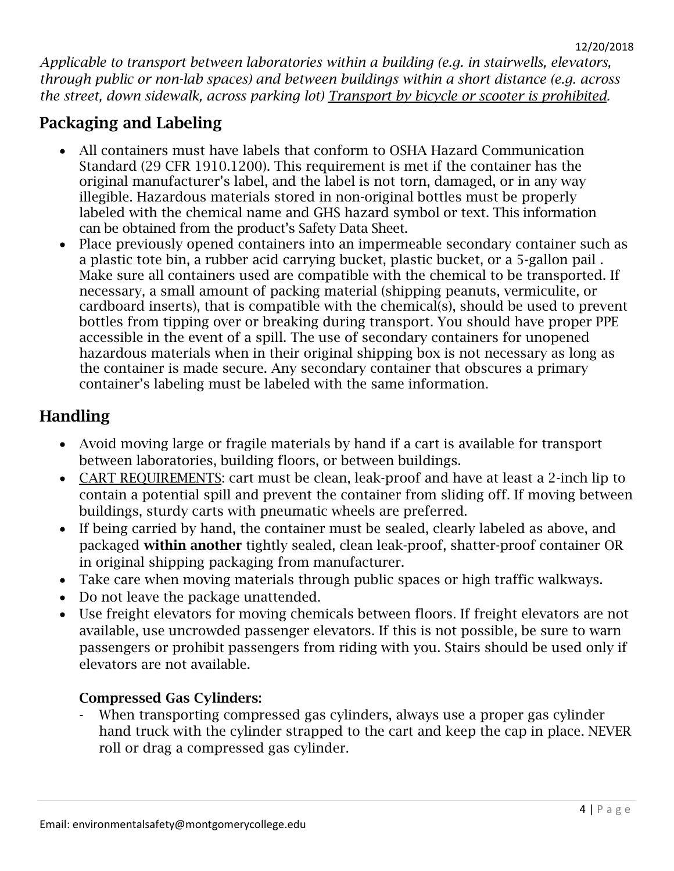*Applicable to transport between laboratories within a building (e.g. in stairwells, elevators, through public or non-lab spaces) and between buildings within a short distance (e.g. across the street, down sidewalk, across parking lot) Transport by bicycle or scooter is prohibited.*

# Packaging and Labeling

- All containers must have labels that conform to OSHA Hazard Communication Standard (29 CFR 1910.1200). This requirement is met if the container has the original manufacturer's label, and the label is not torn, damaged, or in any way illegible. Hazardous materials stored in non-original bottles must be properly labeled with the chemical name and GHS hazard symbol or text. This information can be obtained from the product's Safety Data Sheet.
- Place previously opened containers into an impermeable secondary container such as a plastic tote bin, a rubber acid carrying bucket, plastic bucket, or a 5-gallon pail . Make sure all containers used are compatible with the chemical to be transported. If necessary, a small amount of packing material (shipping peanuts, vermiculite, or cardboard inserts), that is compatible with the chemical(s), should be used to prevent bottles from tipping over or breaking during transport. You should have proper PPE accessible in the event of a spill. The use of secondary containers for unopened hazardous materials when in their original shipping box is not necessary as long as the container is made secure. Any secondary container that obscures a primary container's labeling must be labeled with the same information.

# Handling

- Avoid moving large or fragile materials by hand if a cart is available for transport between laboratories, building floors, or between buildings.
- CART REQUIREMENTS: cart must be clean, leak-proof and have at least a 2-inch lip to contain a potential spill and prevent the container from sliding off. If moving between buildings, sturdy carts with pneumatic wheels are preferred.
- If being carried by hand, the container must be sealed, clearly labeled as above, and packaged within another tightly sealed, clean leak-proof, shatter-proof container OR in original shipping packaging from manufacturer.
- Take care when moving materials through public spaces or high traffic walkways.
- Do not leave the package unattended.
- Use freight elevators for moving chemicals between floors. If freight elevators are not available, use uncrowded passenger elevators. If this is not possible, be sure to warn passengers or prohibit passengers from riding with you. Stairs should be used only if elevators are not available.

### Compressed Gas Cylinders:

When transporting compressed gas cylinders, always use a proper gas cylinder hand truck with the cylinder strapped to the cart and keep the cap in place. NEVER roll or drag a compressed gas cylinder.